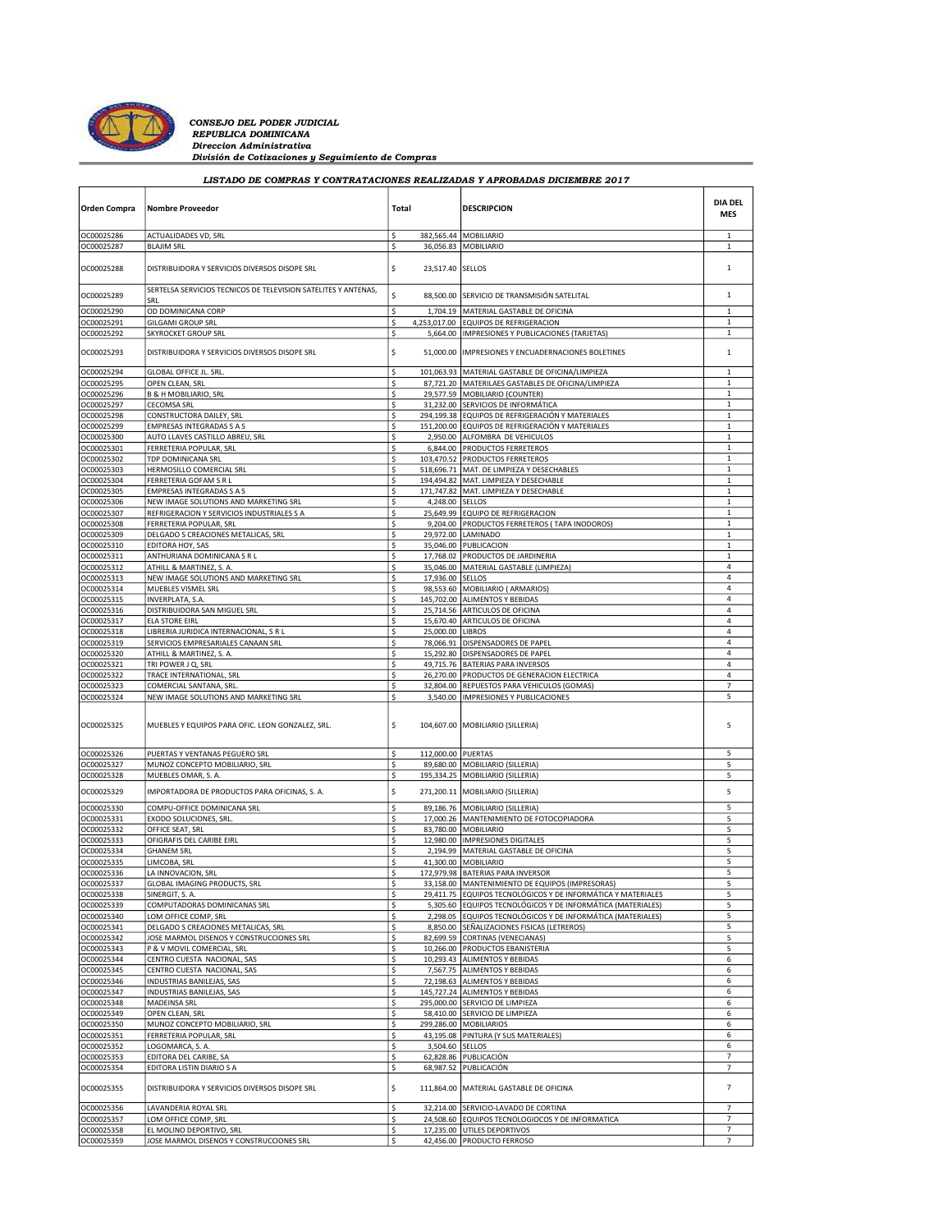

CONSEJO DEL PODER JUDICIAL Direccion Administrativa División de Cotizaciones y Seguimiento de Compras

| LISTADO DE COMPRAS Y CONTRATACIONES REALIZADAS Y APROBADAS DICIEMBRE 2017 |                                                                        |          |                    |                                                                                                           |                              |  |  |
|---------------------------------------------------------------------------|------------------------------------------------------------------------|----------|--------------------|-----------------------------------------------------------------------------------------------------------|------------------------------|--|--|
| <b>Orden Compra</b>                                                       | <b>Nombre Proveedor</b>                                                | Total    |                    | <b>DESCRIPCION</b>                                                                                        | <b>DIA DEL</b><br><b>MES</b> |  |  |
| OC00025286                                                                | ACTUALIDADES VD, SRL                                                   | \$       |                    | 382,565.44 MOBILIARIO                                                                                     | $\mathbf{1}$                 |  |  |
| OC00025287                                                                | <b>BLAJIM SRL</b>                                                      | \$       |                    | 36,056.83 MOBILIARIO                                                                                      | $\mathbf{1}$                 |  |  |
| OC00025288                                                                | DISTRIBUIDORA Y SERVICIOS DIVERSOS DISOPE SRL                          | \$       | 23,517.40          | <b>SELLOS</b>                                                                                             | $\mathbf{1}$                 |  |  |
| OC00025289                                                                | SERTELSA SERVICIOS TECNICOS DE TELEVISION SATELITES Y ANTENAS,<br>SRL  | \$       | 88,500.00          | SERVICIO DE TRANSMISIÓN SATELITAL                                                                         | $\mathbf 1$                  |  |  |
| OC00025290                                                                | OD DOMINICANA CORP                                                     | \$       | 1,704.19           | MATERIAL GASTABLE DE OFICINA                                                                              | $\mathbf{1}$                 |  |  |
| OC00025291                                                                | <b>GILGAMI GROUP SRL</b>                                               | \$       | 4,253,017.00       | EQUIPOS DE REFRIGERACION                                                                                  | $\mathbf 1$                  |  |  |
| OC00025292                                                                | <b>SKYROCKET GROUP SRL</b>                                             | \$       | 5,664.00           | IMPRESIONES Y PUBLICACIONES (TARJETAS)                                                                    | $\mathbf 1$                  |  |  |
| OC00025293                                                                | DISTRIBUIDORA Y SERVICIOS DIVERSOS DISOPE SRL                          | \$       | 51,000.00          | IMPRESIONES Y ENCUADERNACIONES BOLETINES                                                                  | 1                            |  |  |
| OC00025294                                                                | GLOBAL OFFICE JL. SRL.                                                 | \$       |                    | 101,063.93 MATERIAL GASTABLE DE OFICINA/LIMPIEZA                                                          | $\mathbf{1}$                 |  |  |
| OC00025295                                                                | OPEN CLEAN, SRL                                                        | \$       |                    | 87,721.20   MATERILAES GASTABLES DE OFICINA/LIMPIEZA                                                      | $\mathbf{1}$                 |  |  |
| OC00025296                                                                | <b>B &amp; H MOBILIARIO, SRL</b>                                       | \$       |                    | 29,577.59 MOBILIARIO (COUNTER)                                                                            | $\,1\,$                      |  |  |
| OC00025297                                                                | <b>CECOMSA SRL</b>                                                     | \$       |                    | 31,232.00 SERVICIOS DE INFORMÁTICA                                                                        | $\mathbf 1$                  |  |  |
| OC00025298                                                                | CONSTRUCTORA DAILEY, SRL                                               | \$       |                    | 294,199.38 EQUIPOS DE REFRIGERACIÓN Y MATERIALES                                                          | $\mathbf 1$                  |  |  |
| OC00025299                                                                | <b>EMPRESAS INTEGRADAS S A S</b>                                       | \$       |                    | 151,200.00 EQUIPOS DE REFRIGERACIÓN Y MATERIALES                                                          | $\mathbf{1}$                 |  |  |
| OC00025300                                                                | AUTO LLAVES CASTILLO ABREU, SRL                                        | \$       | 2,950.00           | ALFOMBRA DE VEHICULOS                                                                                     | $\mathbf{1}$                 |  |  |
| OC00025301                                                                | FERRETERIA POPULAR, SRL                                                | \$       |                    | 6,844.00 PRODUCTOS FERRETEROS                                                                             | $\mathbf{1}$                 |  |  |
| OC00025302                                                                | TDP DOMINICANA SRL                                                     | \$       |                    | 103,470.52 PRODUCTOS FERRETEROS                                                                           | $\mathbf{1}$                 |  |  |
| OC00025303                                                                | HERMOSILLO COMERCIAL SRL                                               | \$       | 518,696.71         | MAT. DE LIMPIEZA Y DESECHABLES                                                                            | $\mathbf 1$                  |  |  |
| OC00025304                                                                | FERRETERIA GOFAM S R L                                                 | \$       |                    | 194,494.82 MAT. LIMPIEZA Y DESECHABLE                                                                     | $\mathbf{1}$                 |  |  |
| OC00025305                                                                | <b>EMPRESAS INTEGRADAS S A S</b>                                       | \$       |                    | 171,747.82 MAT. LIMPIEZA Y DESECHABLE                                                                     | $\mathbf{1}$                 |  |  |
| OC00025306                                                                | NEW IMAGE SOLUTIONS AND MARKETING SRL                                  | \$       | 4,248.00           | <b>SELLOS</b>                                                                                             | $\mathbf 1$                  |  |  |
| OC00025307                                                                | REFRIGERACION Y SERVICIOS INDUSTRIALES S A                             | \$       |                    | 25,649.99 EQUIPO DE REFRIGERACION                                                                         | $\mathbf 1$                  |  |  |
| OC00025308                                                                | FERRETERIA POPULAR, SRL                                                | \$       |                    | 9,204.00 PRODUCTOS FERRETEROS (TAPA INODOROS)                                                             | $\mathbf 1$                  |  |  |
| OC00025309                                                                | DELGADO S CREACIONES METALICAS, SRL                                    | \$       | 29,972.00          | <b>LAMINADO</b>                                                                                           | $\mathbf 1$                  |  |  |
| OC00025310                                                                | EDITORA HOY, SAS                                                       | \$       |                    | 35,046.00 PUBLICACION                                                                                     | $\mathbf{1}$                 |  |  |
| OC00025311                                                                | ANTHURIANA DOMINICANA S R L                                            | \$       |                    | 17.768.02 PRODUCTOS DE JARDINERIA                                                                         | $\mathbf{1}$<br>4            |  |  |
| OC00025312                                                                | ATHILL & MARTINEZ, S. A.                                               | \$       |                    | 35,046.00   MATERIAL GASTABLE (LIMPIEZA)                                                                  | 4                            |  |  |
| OC00025313<br>OC00025314                                                  | NEW IMAGE SOLUTIONS AND MARKETING SRL<br>MUEBLES VISMEL SRL            | \$<br>\$ | 17,936.00 SELLOS   | 98,553.60   MOBILIARIO ( ARMARIOS)                                                                        | 4                            |  |  |
| OC00025315                                                                | <b>INVERPLATA, S.A.</b>                                                | \$       |                    | 145,702.00 ALIMENTOS Y BEBIDAS                                                                            | $\overline{4}$               |  |  |
| OC00025316                                                                | DISTRIBUIDORA SAN MIGUEL SRL                                           | \$       |                    | 25,714.56 ARTICULOS DE OFICINA                                                                            | 4                            |  |  |
| OC00025317                                                                | <b>ELA STORE EIRL</b>                                                  | \$       |                    | 15,670.40 ARTICULOS DE OFICINA                                                                            | $\sqrt{4}$                   |  |  |
| OC00025318                                                                | LIBRERIA JURIDICA INTERNACIONAL, S R L                                 | \$       | 25,000.00 LIBROS   |                                                                                                           | $\sqrt{4}$                   |  |  |
| OC00025319                                                                | SERVICIOS EMPRESARIALES CANAAN SRL                                     | \$       |                    | 78,066.91 DISPENSADORES DE PAPEL                                                                          | 4                            |  |  |
| OC00025320                                                                | ATHILL & MARTINEZ, S. A.                                               | \$       |                    | 15,292.80 DISPENSADORES DE PAPEL                                                                          | 4                            |  |  |
| OC00025321                                                                | TRI POWER J Q, SRL                                                     | \$       |                    | 49,715.76 BATERIAS PARA INVERSOS                                                                          | 4                            |  |  |
| OC00025322                                                                | TRACE INTERNATIONAL, SRL                                               | \$       |                    | 26,270.00 PRODUCTOS DE GENERACION ELECTRICA                                                               | 4                            |  |  |
| OC00025323                                                                | COMERCIAL SANTANA, SRL                                                 | \$       | 32,804.00          | REPUESTOS PARA VEHICULOS (GOMAS)                                                                          | $\overline{7}$               |  |  |
| OC00025324                                                                | NEW IMAGE SOLUTIONS AND MARKETING SRL                                  | \$       | 3,540.00           | IMPRESIONES Y PUBLICACIONES                                                                               | 5                            |  |  |
| OC00025325                                                                | MUEBLES Y EQUIPOS PARA OFIC. LEON GONZALEZ, SRL.                       | \$       |                    | 104,607.00   MOBILIARIO (SILLERIA)                                                                        | 5                            |  |  |
| OC00025326                                                                | PUERTAS Y VENTANAS PEGUERO SRL                                         | \$       | 112,000.00 PUERTAS |                                                                                                           | 5                            |  |  |
| OC00025327                                                                | MUNOZ CONCEPTO MOBILIARIO, SRL                                         | \$       |                    | 89,680.00 MOBILIARIO (SILLERIA)                                                                           | 5                            |  |  |
| OC00025328                                                                | MUEBLES OMAR, S. A.                                                    | \$       |                    | 195,334.25   MOBILIARIO (SILLERIA)                                                                        | 5                            |  |  |
| OC00025329                                                                | IMPORTADORA DE PRODUCTOS PARA OFICINAS, S. A.                          | \$       |                    | 271,200.11   MOBILIARIO (SILLERIA)                                                                        | 5                            |  |  |
| OC00025330                                                                | COMPU-OFFICE DOMINICANA SRL                                            | \$       |                    | 89,186.76 MOBILIARIO (SILLERIA)                                                                           | 5                            |  |  |
| OC00025331                                                                | EXODO SOLUCIONES, SRL                                                  | \$       |                    | 17,000.26 MANTENIMIENTO DE FOTOCOPIADORA                                                                  | 5                            |  |  |
| OC00025332                                                                | OFFICE SEAT, SRL                                                       | \$       |                    | 83,780.00 MOBILIARIO                                                                                      | 5                            |  |  |
| OC00025333                                                                | OFIGRAFIS DEL CARIBE EIRL                                              | \$       |                    | 12,980.00  IMPRESIONES DIGITALES                                                                          | 5                            |  |  |
| OC00025334                                                                | <b>GHANEM SRL</b>                                                      | \$       |                    | 2,194.99 MATERIAL GASTABLE DE OFICINA                                                                     | 5                            |  |  |
| OC00025335                                                                | LIMCOBA, SRL                                                           | \$       |                    | 41,300.00 MOBILIARIO                                                                                      | 5                            |  |  |
| OC00025336                                                                | LA INNOVACION, SRL                                                     | \$       |                    | 172,979.98 BATERIAS PARA INVERSOR                                                                         | 5                            |  |  |
| OC00025337                                                                | GLOBAL IMAGING PRODUCTS, SRL                                           | \$       |                    | 33,158.00 MANTENIMIENTO DE EQUIPOS (IMPRESORAS)                                                           | 5                            |  |  |
| OC00025338                                                                | SINERGIT, S. A.                                                        | \$       | 29,411.75          | EQUIPOS TECNOLÓGICOS Y DE INFORMÁTICA Y MATERIALES                                                        | 5                            |  |  |
| OC00025339                                                                | COMPUTADORAS DOMINICANAS SRL                                           | \$       |                    | 5,305.60 EQUIPOS TECNOLÓGICOS Y DE INFORMÁTICA (MATERIALES)                                               | 5                            |  |  |
| OC00025340<br>OC00025341                                                  | LOM OFFICE COMP, SRL<br>DELGADO S CREACIONES METALICAS, SRL            | \$<br>\$ |                    | 2,298.05 EQUIPOS TECNOLÓGICOS Y DE INFORMÁTICA (MATERIALES)<br>8,850.00 SEÑALIZACIONES FISICAS (LETREROS) | 5<br>5                       |  |  |
| OC00025342                                                                |                                                                        | \$       |                    | 82,699.59 CORTINAS (VENECIANAS)                                                                           | 5                            |  |  |
| OC00025343                                                                | JOSE MARMOL DISENOS Y CONSTRUCCIONES SRL<br>P & V MOVIL COMERCIAL, SRL | \$       |                    | 10,266.00 PRODUCTOS EBANISTERIA                                                                           | 5                            |  |  |
| OC00025344                                                                | CENTRO CUESTA NACIONAL, SAS                                            | \$       | 10,293.43          | ALIMENTOS Y BEBIDAS                                                                                       | 6                            |  |  |
| OC00025345                                                                | CENTRO CUESTA NACIONAL, SAS                                            | \$       |                    | 7,567.75 ALIMENTOS Y BEBIDAS                                                                              | 6                            |  |  |
| OC00025346                                                                | INDUSTRIAS BANILEJAS, SAS                                              | \$       |                    | 72,198.63 ALIMENTOS Y BEBIDAS                                                                             | 6                            |  |  |
| OC00025347                                                                | INDUSTRIAS BANILEJAS, SAS                                              | \$       |                    | 145,727.24 ALIMENTOS Y BEBIDAS                                                                            | 6                            |  |  |
| OC00025348                                                                | MADEINSA SRL                                                           | \$       |                    | 295,000.00 SERVICIO DE LIMPIEZA                                                                           | 6                            |  |  |
| OC00025349                                                                | OPEN CLEAN, SRL                                                        | \$       |                    | 58.410.00 SERVICIO DE LIMPIEZA                                                                            | 6                            |  |  |
| OC00025350                                                                | MUNOZ CONCEPTO MOBILIARIO, SRL                                         | \$       |                    | 299,286.00 MOBILIARIOS                                                                                    | 6                            |  |  |
| OC00025351                                                                | FERRETERIA POPULAR, SRL                                                | \$       |                    | 43,195.08 PINTURA (Y SUS MATERIALES)                                                                      | 6                            |  |  |
| OC00025352                                                                | LOGOMARCA, S. A.                                                       | \$       | 3,504.60 SELLOS    |                                                                                                           | 6                            |  |  |
| OC00025353                                                                | EDITORA DEL CARIBE, SA                                                 | \$       |                    | 62,828.86 PUBLICACIÓN                                                                                     | $\overline{7}$               |  |  |
| OC00025354                                                                | EDITORA LISTIN DIARIO S A                                              | \$       |                    | 68,987.52 PUBLICACIÓN                                                                                     | $\overline{7}$               |  |  |
| OC00025355                                                                | DISTRIBUIDORA Y SERVICIOS DIVERSOS DISOPE SRL                          | \$       | 111,864.00         | MATERIAL GASTABLE DE OFICINA                                                                              | 7                            |  |  |
| OC00025356                                                                | LAVANDERIA ROYAL SRL                                                   | \$       |                    | 32,214.00 SERVICIO-LAVADO DE CORTINA                                                                      | $\overline{7}$               |  |  |
| OC00025357                                                                | LOM OFFICE COMP, SRL                                                   | \$       |                    | 24,508.60 EQUIPOS TECNOLOGIOCOS Y DE INFORMATICA                                                          | $\overline{7}$               |  |  |
| OC00025358                                                                | EL MOLINO DEPORTIVO, SRL                                               | \$       |                    | 17,235.00 UTILES DEPORTIVOS                                                                               | 7                            |  |  |
| OC00025359                                                                | JOSE MARMOL DISENOS Y CONSTRUCCIONES SRL                               | \$       |                    | 42,456.00 PRODUCTO FERROSO                                                                                | $\overline{7}$               |  |  |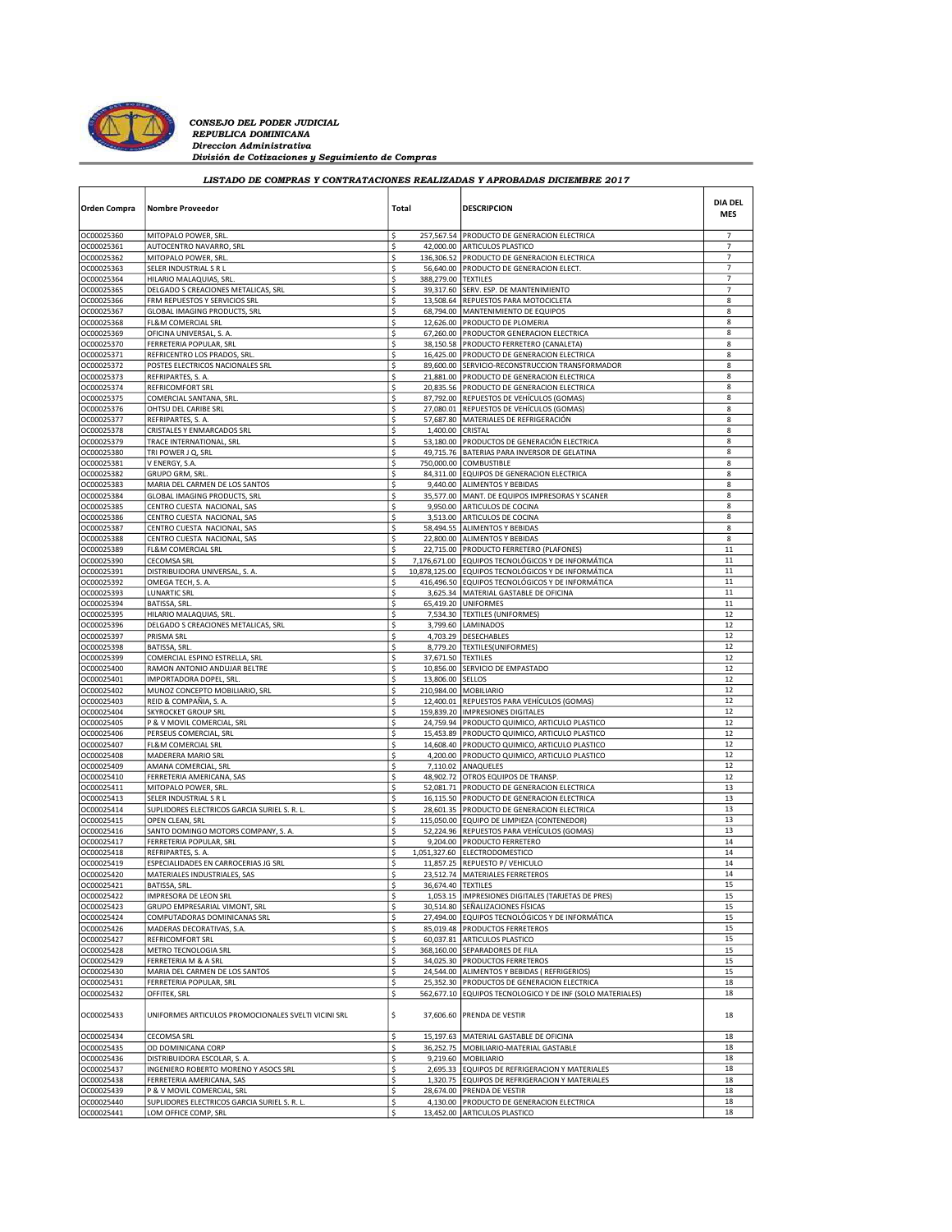

CONSEJO DEL PODER JUDICIAL Direccion Administrativa División de Cotizaciones y Seguimiento de Compras

| LISTADO DE COMPRAS Y CONTRATACIONES REALIZADAS Y APROBADAS DICIEMBRE 2017 |                                                                |          |                     |                                                                                |                              |  |  |  |
|---------------------------------------------------------------------------|----------------------------------------------------------------|----------|---------------------|--------------------------------------------------------------------------------|------------------------------|--|--|--|
| Orden Compra                                                              | <b>Nombre Proveedor</b>                                        | Total    |                     | <b>DESCRIPCION</b>                                                             | <b>DIA DEL</b><br><b>MES</b> |  |  |  |
| OC00025360                                                                | MITOPALO POWER, SRL                                            | \$       |                     | 257,567.54 PRODUCTO DE GENERACION ELECTRICA                                    | $\overline{7}$               |  |  |  |
| OC00025361                                                                | AUTOCENTRO NAVARRO, SRL                                        | \$       |                     | 42,000.00 ARTICULOS PLASTICO                                                   | $\overline{7}$               |  |  |  |
| OC00025362                                                                | MITOPALO POWER, SRL                                            | \$       |                     | 136,306.52 PRODUCTO DE GENERACION ELECTRICA                                    | 7                            |  |  |  |
| OC00025363                                                                | SELER INDUSTRIAL S R L                                         | \$       |                     | 56,640.00 PRODUCTO DE GENERACION ELECT.                                        | $\overline{7}$               |  |  |  |
| OC00025364                                                                | HILARIO MALAQUIAS, SRL                                         | \$       | 388,279.00 TEXTILES |                                                                                | $\overline{7}$               |  |  |  |
| OC00025365                                                                | DELGADO S CREACIONES METALICAS, SRL                            | \$       |                     | 39,317.60 SERV. ESP. DE MANTENIMIENTO                                          | 7                            |  |  |  |
| OC00025366                                                                | FRM REPUESTOS Y SERVICIOS SRL                                  | \$       |                     | 13,508.64 REPUESTOS PARA MOTOCICLETA                                           | 8                            |  |  |  |
| OC00025367                                                                | GLOBAL IMAGING PRODUCTS, SRL                                   | \$<br>\$ |                     | 68,794.00 MANTENIMIENTO DE EQUIPOS                                             | 8<br>8                       |  |  |  |
| OC00025368<br>OC00025369                                                  | FL&M COMERCIAL SRL<br>OFICINA UNIVERSAL, S. A.                 | \$       |                     | 12,626.00 PRODUCTO DE PLOMERIA<br>67,260.00 PRODUCTOR GENERACION ELECTRICA     | 8                            |  |  |  |
| OC00025370                                                                | FERRETERIA POPULAR, SRL                                        | \$       |                     | 38,150.58 PRODUCTO FERRETERO (CANALETA)                                        | 8                            |  |  |  |
| OC00025371                                                                | REFRICENTRO LOS PRADOS, SRL.                                   | \$       |                     | 16,425.00 PRODUCTO DE GENERACION ELECTRICA                                     | 8                            |  |  |  |
| OC00025372                                                                | POSTES ELECTRICOS NACIONALES SRL                               | \$       |                     | 89,600.00 SERVICIO-RECONSTRUCCION TRANSFORMADOR                                | 8                            |  |  |  |
| OC00025373                                                                | REFRIPARTES, S. A.                                             | \$       |                     | 21,881.00 PRODUCTO DE GENERACION ELECTRICA                                     | 8                            |  |  |  |
| OC00025374                                                                | REFRICOMFORT SRL                                               | \$       |                     | 20,835.56 PRODUCTO DE GENERACION ELECTRICA                                     | 8                            |  |  |  |
| OC00025375                                                                | COMERCIAL SANTANA, SRL                                         | \$       |                     | 87,792.00 REPUESTOS DE VEHÍCULOS (GOMAS)                                       | 8                            |  |  |  |
| OC00025376                                                                | OHTSU DEL CARIBE SRL                                           | \$       |                     | 27,080.01 REPUESTOS DE VEHÍCULOS (GOMAS)                                       | 8                            |  |  |  |
| OC00025377                                                                | REFRIPARTES, S.A.                                              | \$       |                     | 57,687.80 MATERIALES DE REFRIGERACIÓN                                          | 8                            |  |  |  |
| OC00025378                                                                | CRISTALES Y ENMARCADOS SRL                                     | \$       | 1,400.00 CRISTAL    |                                                                                | 8                            |  |  |  |
| OC00025379                                                                | TRACE INTERNATIONAL, SRL                                       | \$       |                     | 53,180.00 PRODUCTOS DE GENERACIÓN ELECTRICA                                    | 8                            |  |  |  |
| OC00025380                                                                | TRI POWER J Q, SRL                                             | \$       |                     | 49,715.76 BATERIAS PARA INVERSOR DE GELATINA                                   | 8                            |  |  |  |
| OC00025381                                                                | V ENERGY, S.A.                                                 | \$       |                     | 750,000.00 COMBUSTIBLE                                                         | 8                            |  |  |  |
| OC00025382                                                                | <b>GRUPO GRM, SRL</b>                                          | \$       |                     | 84,311.00 EQUIPOS DE GENERACION ELECTRICA                                      | 8                            |  |  |  |
| OC00025383                                                                | MARIA DEL CARMEN DE LOS SANTOS                                 | \$       |                     | 9,440.00 ALIMENTOS Y BEBIDAS                                                   | 8<br>8                       |  |  |  |
| OC00025384<br>OC00025385                                                  | GLOBAL IMAGING PRODUCTS, SRL<br>CENTRO CUESTA NACIONAL, SAS    | \$<br>\$ |                     | 35,577.00 MANT. DE EQUIPOS IMPRESORAS Y SCANER<br>9,950.00 ARTICULOS DE COCINA | 8                            |  |  |  |
| OC00025386                                                                | CENTRO CUESTA NACIONAL, SAS                                    | \$       |                     | 3,513.00 ARTICULOS DE COCINA                                                   | 8                            |  |  |  |
| OC00025387                                                                | CENTRO CUESTA NACIONAL, SAS                                    | \$       |                     | 58,494.55 ALIMENTOS Y BEBIDAS                                                  | 8                            |  |  |  |
| OC00025388                                                                | CENTRO CUESTA NACIONAL, SAS                                    | \$       |                     | 22,800.00 ALIMENTOS Y BEBIDAS                                                  | 8                            |  |  |  |
| OC00025389                                                                | FL&M COMERCIAL SRL                                             | \$       |                     | 22,715.00 PRODUCTO FERRETERO (PLAFONES)                                        | 11                           |  |  |  |
| OC00025390                                                                | <b>CECOMSA SRL</b>                                             | \$       |                     | 7,176,671.00 EQUIPOS TECNOLÓGICOS Y DE INFORMÁTICA                             | $11\,$                       |  |  |  |
| OC00025391                                                                | DISTRIBUIDORA UNIVERSAL, S. A.                                 | \$       |                     | 10,878,125.00 EQUIPOS TECNOLÓGICOS Y DE INFORMÁTICA                            | $11\,$                       |  |  |  |
| OC00025392                                                                | OMEGA TECH, S. A.                                              | \$       |                     | 416,496.50 EQUIPOS TECNOLÓGICOS Y DE INFORMÁTICA                               | 11                           |  |  |  |
| OC00025393                                                                | <b>LUNARTIC SRL</b>                                            | \$       |                     | 3,625.34   MATERIAL GASTABLE DE OFICINA                                        | 11                           |  |  |  |
| OC00025394                                                                | BATISSA, SRL                                                   | \$       |                     | 65,419.20 UNIFORMES                                                            | 11                           |  |  |  |
| OC00025395                                                                | HILARIO MALAQUIAS, SRL                                         | Ś        |                     | 7,534.30 TEXTILES (UNIFORMES)                                                  | 12                           |  |  |  |
| OC00025396                                                                | DELGADO S CREACIONES METALICAS, SRL                            | \$       |                     | 3,799.60   LAMINADOS                                                           | 12                           |  |  |  |
| OC00025397                                                                | PRISMA SRL                                                     | \$       |                     | 4,703.29 DESECHABLES                                                           | 12                           |  |  |  |
| OC00025398                                                                | BATISSA, SRL                                                   | \$       |                     | 8,779.20   TEXTILES (UNIFORMES)                                                | 12                           |  |  |  |
| OC00025399                                                                | COMERCIAL ESPINO ESTRELLA, SRL                                 | \$       | 37,671.50 TEXTILES  |                                                                                | 12                           |  |  |  |
| OC00025400                                                                | RAMON ANTONIO ANDUJAR BELTRE                                   | \$       |                     | 10,856.00 SERVICIO DE EMPASTADO                                                | 12                           |  |  |  |
| OC00025401<br>OC00025402                                                  | IMPORTADORA DOPEL, SRL<br>MUNOZ CONCEPTO MOBILIARIO, SRL       | \$<br>\$ | 13,806.00 SELLOS    | 210,984.00 MOBILIARIO                                                          | 12<br>12                     |  |  |  |
| OC00025403                                                                | REID & COMPAÑIA, S. A                                          | \$       |                     | 12,400.01 REPUESTOS PARA VEHÍCULOS (GOMAS)                                     | 12                           |  |  |  |
| OC00025404                                                                | SKYROCKET GROUP SRL                                            | \$       |                     | 159,839.20  IMPRESIONES DIGITALES                                              | 12                           |  |  |  |
| OC00025405                                                                | P & V MOVIL COMERCIAL, SRL                                     | \$       | 24,759.94           | PRODUCTO QUIMICO, ARTICULO PLASTICO                                            | 12                           |  |  |  |
| OC00025406                                                                | PERSEUS COMERCIAL, SRL                                         | Ś        | 15,453.89           | PRODUCTO QUIMICO, ARTICULO PLASTICO                                            | 12                           |  |  |  |
| OC00025407                                                                | FL&M COMERCIAL SRL                                             | \$       |                     | 14,608.40 PRODUCTO QUIMICO, ARTICULO PLASTICO                                  | 12                           |  |  |  |
| OC00025408                                                                | MADERERA MARIO SRL                                             | \$       |                     | 4,200.00 PRODUCTO QUIMICO, ARTICULO PLASTICO                                   | 12                           |  |  |  |
| OC00025409                                                                | AMANA COMERCIAL, SRL                                           | \$       |                     | 7,110.02 ANAQUELES                                                             | 12                           |  |  |  |
| OC00025410                                                                | FERRETERIA AMERICANA, SAS                                      | Ś        |                     | 48,902.72 OTROS EQUIPOS DE TRANSP.                                             | 12                           |  |  |  |
| OC00025411                                                                | MITOPALO POWER, SRL                                            | \$       |                     | 52,081.71 PRODUCTO DE GENERACION ELECTRICA                                     | 13                           |  |  |  |
| OC00025413                                                                | SELER INDUSTRIAL S R L                                         | \$       |                     | 16,115.50 PRODUCTO DE GENERACION ELECTRICA                                     | 13                           |  |  |  |
| OC00025414                                                                | SUPLIDORES ELECTRICOS GARCIA SURIEL S. R. L                    | \$       |                     | 28,601.35 PRODUCTO DE GENERACION ELECTRICA                                     | 13                           |  |  |  |
| OC00025415                                                                | OPEN CLEAN, SRL                                                | \$       |                     | 115,050.00 EQUIPO DE LIMPIEZA (CONTENEDOR)                                     | 13                           |  |  |  |
| OC00025416<br>OC00025417                                                  | SANTO DOMINGO MOTORS COMPANY, S. A.<br>FERRETERIA POPULAR, SRL | \$<br>\$ | 9,204.00            | 52,224.96 REPUESTOS PARA VEHÍCULOS (GOMAS)<br>PRODUCTO FERRETERO               | 13<br>14                     |  |  |  |
| OC00025418                                                                | REFRIPARTES, S. A.                                             | \$       |                     | 1,051,327.60 ELECTRODOMESTICO                                                  | 14                           |  |  |  |
| OC00025419                                                                | ESPECIALIDADES EN CARROCERIAS JG SRL                           | \$       |                     | 11,857.25 REPUESTO P/ VEHICULO                                                 | 14                           |  |  |  |
| OC00025420                                                                | MATERIALES INDUSTRIALES, SAS                                   | \$       |                     | 23,512.74 MATERIALES FERRETEROS                                                | 14                           |  |  |  |
| OC00025421                                                                | BATISSA, SRL.                                                  | \$       | 36,674.40 TEXTILES  |                                                                                | 15                           |  |  |  |
| OC00025422                                                                | IMPRESORA DE LEON SRL                                          | \$       |                     | 1,053.15  IMPRESIONES DIGITALES (TARJETAS DE PRES)                             | 15                           |  |  |  |
| OC00025423                                                                | GRUPO EMPRESARIAL VIMONT, SRL                                  | \$       |                     | 30,514.80 SEÑALIZACIONES FÍSICAS                                               | 15                           |  |  |  |
| OC00025424                                                                | COMPUTADORAS DOMINICANAS SRL                                   | \$       |                     | 27,494.00 EQUIPOS TECNOLÓGICOS Y DE INFORMÁTICA                                | 15                           |  |  |  |
| OC00025426                                                                | MADERAS DECORATIVAS, S.A.                                      | \$       |                     | 85,019.48 PRODUCTOS FERRETEROS                                                 | 15                           |  |  |  |
| OC00025427                                                                | REFRICOMFORT SRL                                               | \$       |                     | 60,037.81 ARTICULOS PLASTICO                                                   | 15                           |  |  |  |
| OC00025428                                                                | METRO TECNOLOGIA SRL                                           | \$       |                     | 368,160.00 SEPARADORES DE FILA                                                 | 15                           |  |  |  |
| OC00025429                                                                | FERRETERIA M & A SRL                                           | \$       |                     | 34,025.30 PRODUCTOS FERRETEROS                                                 | 15                           |  |  |  |
| OC00025430                                                                | MARIA DEL CARMEN DE LOS SANTOS                                 | \$       |                     | 24,544.00 ALIMENTOS Y BEBIDAS ( REFRIGERIOS)                                   | 15                           |  |  |  |
| OC00025431                                                                | FERRETERIA POPULAR, SRL                                        | \$       | 25,352.30           | PRODUCTOS DE GENERACION ELECTRICA                                              | 18                           |  |  |  |
| OC00025432                                                                | OFFITEK, SRL                                                   | \$       |                     | 562,677.10 EQUIPOS TECNOLOGICO Y DE INF (SOLO MATERIALES)                      | 18                           |  |  |  |
| OC00025433                                                                | UNIFORMES ARTICULOS PROMOCIONALES SVELTI VICINI SRL            | \$       | 37,606.60           | PRENDA DE VESTIR                                                               | 18                           |  |  |  |
| OC00025434                                                                | <b>CECOMSA SRL</b>                                             | \$       |                     | 15,197.63 MATERIAL GASTABLE DE OFICINA                                         | 18                           |  |  |  |
| OC00025435                                                                | OD DOMINICANA CORP                                             | \$       |                     | 36,252.75 MOBILIARIO-MATERIAL GASTABLE                                         | 18                           |  |  |  |
| OC00025436                                                                | DISTRIBUIDORA ESCOLAR, S. A.                                   | \$       |                     | 9,219.60 MOBILIARIO                                                            | 18                           |  |  |  |
| OC00025437                                                                | INGENIERO ROBERTO MORENO Y ASOCS SRL                           | \$       |                     | 2,695.33 EQUIPOS DE REFRIGERACION Y MATERIALES                                 | 18                           |  |  |  |
| OC00025438                                                                | FERRETERIA AMERICANA, SAS                                      | \$       |                     | 1,320.75 EQUIPOS DE REFRIGERACION Y MATERIALES                                 | 18                           |  |  |  |
| OC00025439                                                                | P & V MOVIL COMERCIAL, SRL                                     | \$       |                     | 28,674.00 PRENDA DE VESTIR                                                     | 18                           |  |  |  |
| OC00025440                                                                | SUPLIDORES ELECTRICOS GARCIA SURIEL S. R. L.                   | \$       |                     | 4,130.00 PRODUCTO DE GENERACION ELECTRICA                                      | 18                           |  |  |  |
| OC00025441                                                                | LOM OFFICE COMP, SRL                                           | \$       |                     | 13,452.00 ARTICULOS PLASTICO                                                   | 18                           |  |  |  |